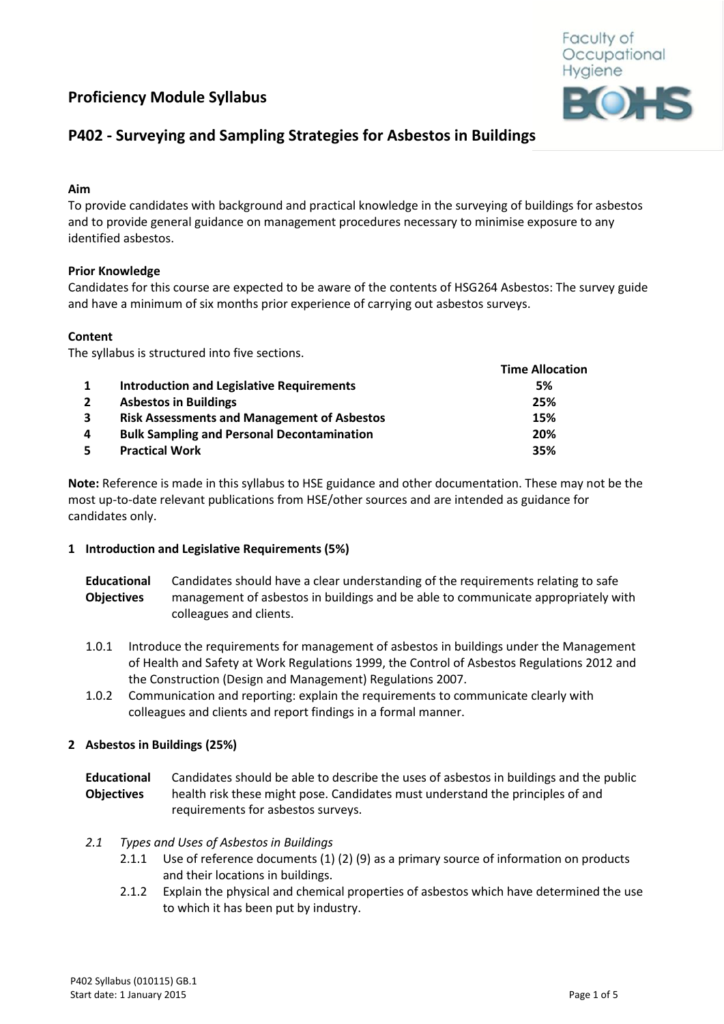# **Proficiency Module Syllabus**



# **P402 - Surveying and Sampling Strategies for Asbestos in Buildings**

# **Aim**

To provide candidates with background and practical knowledge in the surveying of buildings for asbestos and to provide general guidance on management procedures necessary to minimise exposure to any identified asbestos.

# **Prior Knowledge**

Candidates for this course are expected to be aware of the contents of HSG264 Asbestos: The survey guide and have a minimum of six months prior experience of carrying out asbestos surveys.

# **Content**

The syllabus is structured into five sections.

|                |                                                    | <b>Time Allocation</b> |
|----------------|----------------------------------------------------|------------------------|
| 1              | <b>Introduction and Legislative Requirements</b>   | 5%                     |
| $\overline{2}$ | <b>Asbestos in Buildings</b>                       | 25%                    |
| $\mathbf{3}$   | <b>Risk Assessments and Management of Asbestos</b> | 15%                    |
| 4              | <b>Bulk Sampling and Personal Decontamination</b>  | 20%                    |
| -5             | <b>Practical Work</b>                              | 35%                    |

**Note:** Reference is made in this syllabus to HSE guidance and other documentation. These may not be the most up-to-date relevant publications from HSE/other sources and are intended as guidance for candidates only.

## **1 Introduction and Legislative Requirements (5%)**

- **Educational Objectives** Candidates should have a clear understanding of the requirements relating to safe management of asbestos in buildings and be able to communicate appropriately with colleagues and clients.
- 1.0.1 Introduce the requirements for management of asbestos in buildings under the Management of Health and Safety at Work Regulations 1999, the Control of Asbestos Regulations 2012 and the Construction (Design and Management) Regulations 2007.
- 1.0.2 Communication and reporting: explain the requirements to communicate clearly with colleagues and clients and report findings in a formal manner.

## **2 Asbestos in Buildings (25%)**

**Educational Objectives** Candidates should be able to describe the uses of asbestos in buildings and the public health risk these might pose. Candidates must understand the principles of and requirements for asbestos surveys.

## *2.1 Types and Uses of Asbestos in Buildings*

- 2.1.1 Use of reference documents (1) (2) (9) as a primary source of information on products and their locations in buildings.
- 2.1.2 Explain the physical and chemical properties of asbestos which have determined the use to which it has been put by industry.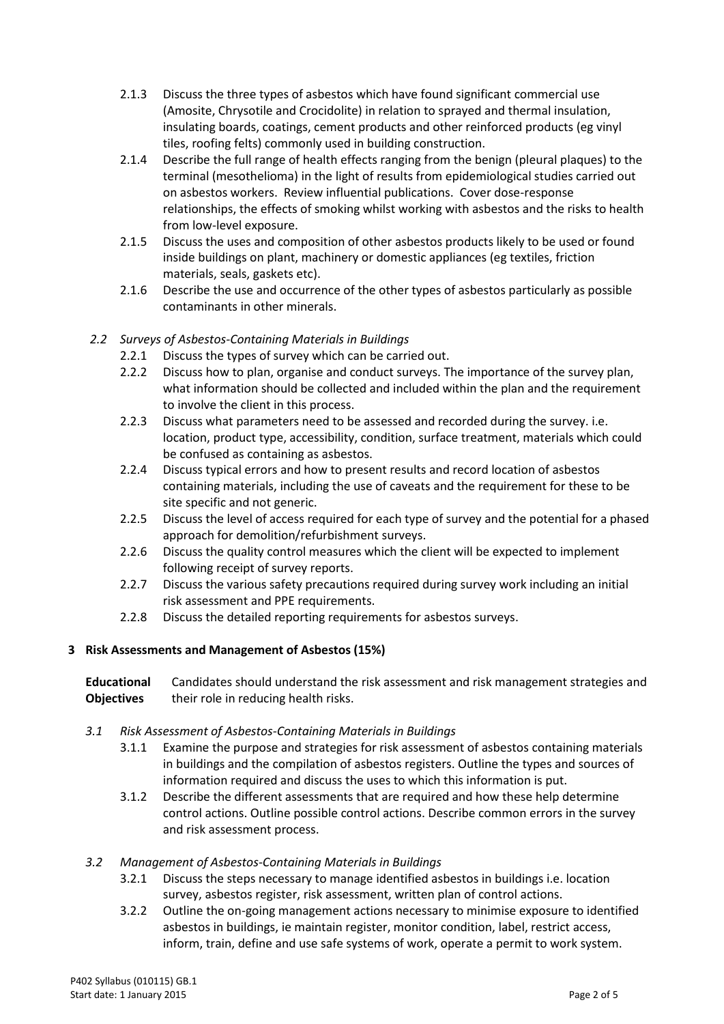- 2.1.3 Discuss the three types of asbestos which have found significant commercial use (Amosite, Chrysotile and Crocidolite) in relation to sprayed and thermal insulation, insulating boards, coatings, cement products and other reinforced products (eg vinyl tiles, roofing felts) commonly used in building construction.
- 2.1.4 Describe the full range of health effects ranging from the benign (pleural plaques) to the terminal (mesothelioma) in the light of results from epidemiological studies carried out on asbestos workers. Review influential publications. Cover dose-response relationships, the effects of smoking whilst working with asbestos and the risks to health from low-level exposure.
- 2.1.5 Discuss the uses and composition of other asbestos products likely to be used or found inside buildings on plant, machinery or domestic appliances (eg textiles, friction materials, seals, gaskets etc).
- 2.1.6 Describe the use and occurrence of the other types of asbestos particularly as possible contaminants in other minerals.

# *2.2 Surveys of Asbestos-Containing Materials in Buildings*

- 2.2.1 Discuss the types of survey which can be carried out.
- 2.2.2 Discuss how to plan, organise and conduct surveys. The importance of the survey plan, what information should be collected and included within the plan and the requirement to involve the client in this process.
- 2.2.3 Discuss what parameters need to be assessed and recorded during the survey. i.e. location, product type, accessibility, condition, surface treatment, materials which could be confused as containing as asbestos.
- 2.2.4 Discuss typical errors and how to present results and record location of asbestos containing materials, including the use of caveats and the requirement for these to be site specific and not generic.
- 2.2.5 Discuss the level of access required for each type of survey and the potential for a phased approach for demolition/refurbishment surveys.
- 2.2.6 Discuss the quality control measures which the client will be expected to implement following receipt of survey reports.
- 2.2.7 Discuss the various safety precautions required during survey work including an initial risk assessment and PPE requirements.
- 2.2.8 Discuss the detailed reporting requirements for asbestos surveys.

# **3 Risk Assessments and Management of Asbestos (15%)**

**Educational Objectives** Candidates should understand the risk assessment and risk management strategies and their role in reducing health risks.

# *3.1 Risk Assessment of Asbestos-Containing Materials in Buildings*

- 3.1.1 Examine the purpose and strategies for risk assessment of asbestos containing materials in buildings and the compilation of asbestos registers. Outline the types and sources of information required and discuss the uses to which this information is put.
- 3.1.2 Describe the different assessments that are required and how these help determine control actions. Outline possible control actions. Describe common errors in the survey and risk assessment process.

# *3.2 Management of Asbestos-Containing Materials in Buildings*

- 3.2.1 Discuss the steps necessary to manage identified asbestos in buildings i.e. location survey, asbestos register, risk assessment, written plan of control actions.
- 3.2.2 Outline the on-going management actions necessary to minimise exposure to identified asbestos in buildings, ie maintain register, monitor condition, label, restrict access, inform, train, define and use safe systems of work, operate a permit to work system.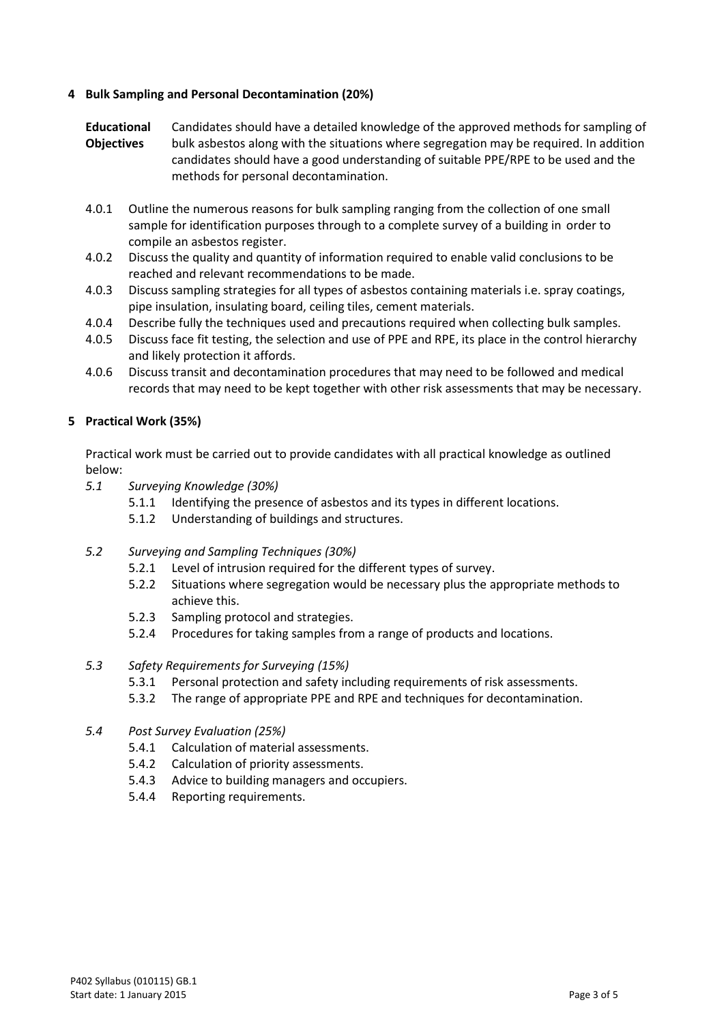# **4 Bulk Sampling and Personal Decontamination (20%)**

**Educational Objectives** Candidates should have a detailed knowledge of the approved methods for sampling of bulk asbestos along with the situations where segregation may be required. In addition candidates should have a good understanding of suitable PPE/RPE to be used and the methods for personal decontamination.

- 4.0.1 Outline the numerous reasons for bulk sampling ranging from the collection of one small sample for identification purposes through to a complete survey of a building in order to compile an asbestos register.
- 4.0.2 Discuss the quality and quantity of information required to enable valid conclusions to be reached and relevant recommendations to be made.
- 4.0.3 Discuss sampling strategies for all types of asbestos containing materials i.e. spray coatings, pipe insulation, insulating board, ceiling tiles, cement materials.
- 4.0.4 Describe fully the techniques used and precautions required when collecting bulk samples.
- 4.0.5 Discuss face fit testing, the selection and use of PPE and RPE, its place in the control hierarchy and likely protection it affords.
- 4.0.6 Discuss transit and decontamination procedures that may need to be followed and medical records that may need to be kept together with other risk assessments that may be necessary.

# **5 Practical Work (35%)**

Practical work must be carried out to provide candidates with all practical knowledge as outlined below:

- *5.1 Surveying Knowledge (30%)*
	- 5.1.1 Identifying the presence of asbestos and its types in different locations.
	- 5.1.2 Understanding of buildings and structures.
- *5.2 Surveying and Sampling Techniques (30%)*
	- 5.2.1 Level of intrusion required for the different types of survey.
	- 5.2.2 Situations where segregation would be necessary plus the appropriate methods to achieve this.
	- 5.2.3 Sampling protocol and strategies.
	- 5.2.4 Procedures for taking samples from a range of products and locations.
- *5.3 Safety Requirements for Surveying (15%)*
	- 5.3.1 Personal protection and safety including requirements of risk assessments.
	- 5.3.2 The range of appropriate PPE and RPE and techniques for decontamination.

## *5.4 Post Survey Evaluation (25%)*

- 5.4.1 Calculation of material assessments.
- 5.4.2 Calculation of priority assessments.
- 5.4.3 Advice to building managers and occupiers.
- 5.4.4 Reporting requirements.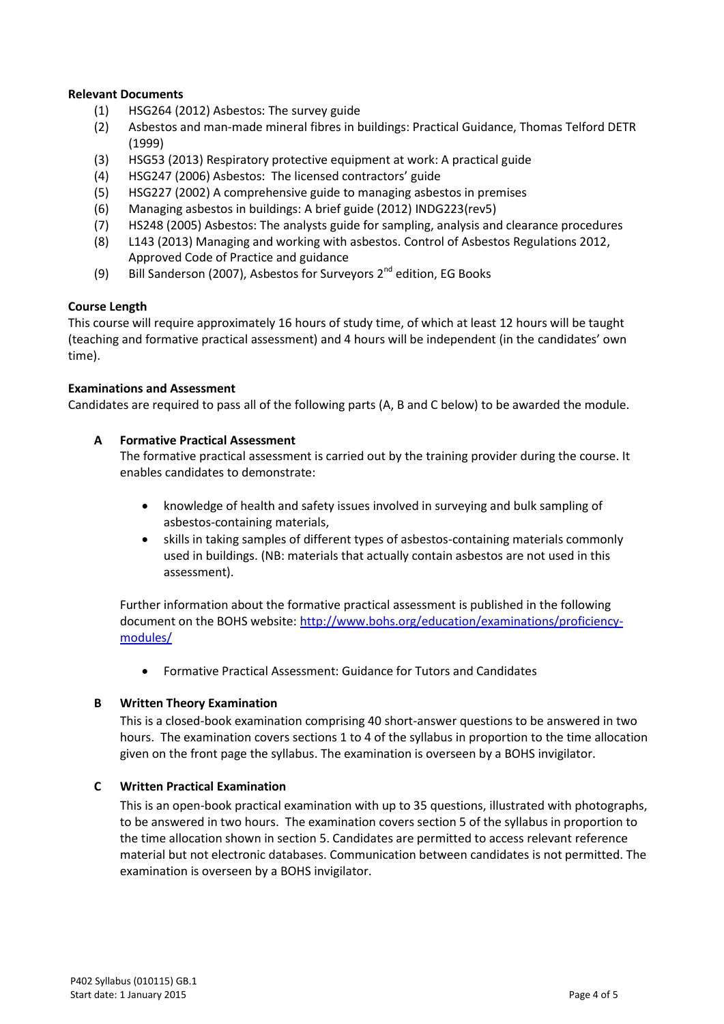## **Relevant Documents**

- (1) HSG264 (2012) Asbestos: The survey guide
- (2) Asbestos and man-made mineral fibres in buildings: Practical Guidance, Thomas Telford DETR (1999)
- (3) HSG53 (2013) Respiratory protective equipment at work: A practical guide
- (4) HSG247 (2006) Asbestos: The licensed contractors' guide
- (5) HSG227 (2002) A comprehensive guide to managing asbestos in premises
- (6) Managing asbestos in buildings: A brief guide (2012) INDG223(rev5)
- (7) HS248 (2005) Asbestos: The analysts guide for sampling, analysis and clearance procedures
- (8) L143 (2013) Managing and working with asbestos. Control of Asbestos Regulations 2012, Approved Code of Practice and guidance
- (9) Bill Sanderson (2007), Asbestos for Surveyors  $2^{nd}$  edition, EG Books

## **Course Length**

This course will require approximately 16 hours of study time, of which at least 12 hours will be taught (teaching and formative practical assessment) and 4 hours will be independent (in the candidates' own time).

#### **Examinations and Assessment**

Candidates are required to pass all of the following parts (A, B and C below) to be awarded the module.

## **A Formative Practical Assessment**

The formative practical assessment is carried out by the training provider during the course. It enables candidates to demonstrate:

- knowledge of health and safety issues involved in surveying and bulk sampling of asbestos-containing materials,
- skills in taking samples of different types of asbestos-containing materials commonly used in buildings. (NB: materials that actually contain asbestos are not used in this assessment).

Further information about the formative practical assessment is published in the following document on the BOHS website[: http://www.bohs.org/education/examinations/proficiency](http://www.bohs.org/education/examinations/proficiency-modules/)[modules/](http://www.bohs.org/education/examinations/proficiency-modules/)

Formative Practical Assessment: Guidance for Tutors and Candidates

## **B Written Theory Examination**

This is a closed-book examination comprising 40 short-answer questions to be answered in two hours. The examination covers sections 1 to 4 of the syllabus in proportion to the time allocation given on the front page the syllabus. The examination is overseen by a BOHS invigilator.

## **C Written Practical Examination**

This is an open-book practical examination with up to 35 questions, illustrated with photographs, to be answered in two hours. The examination covers section 5 of the syllabus in proportion to the time allocation shown in section 5. Candidates are permitted to access relevant reference material but not electronic databases. Communication between candidates is not permitted. The examination is overseen by a BOHS invigilator.